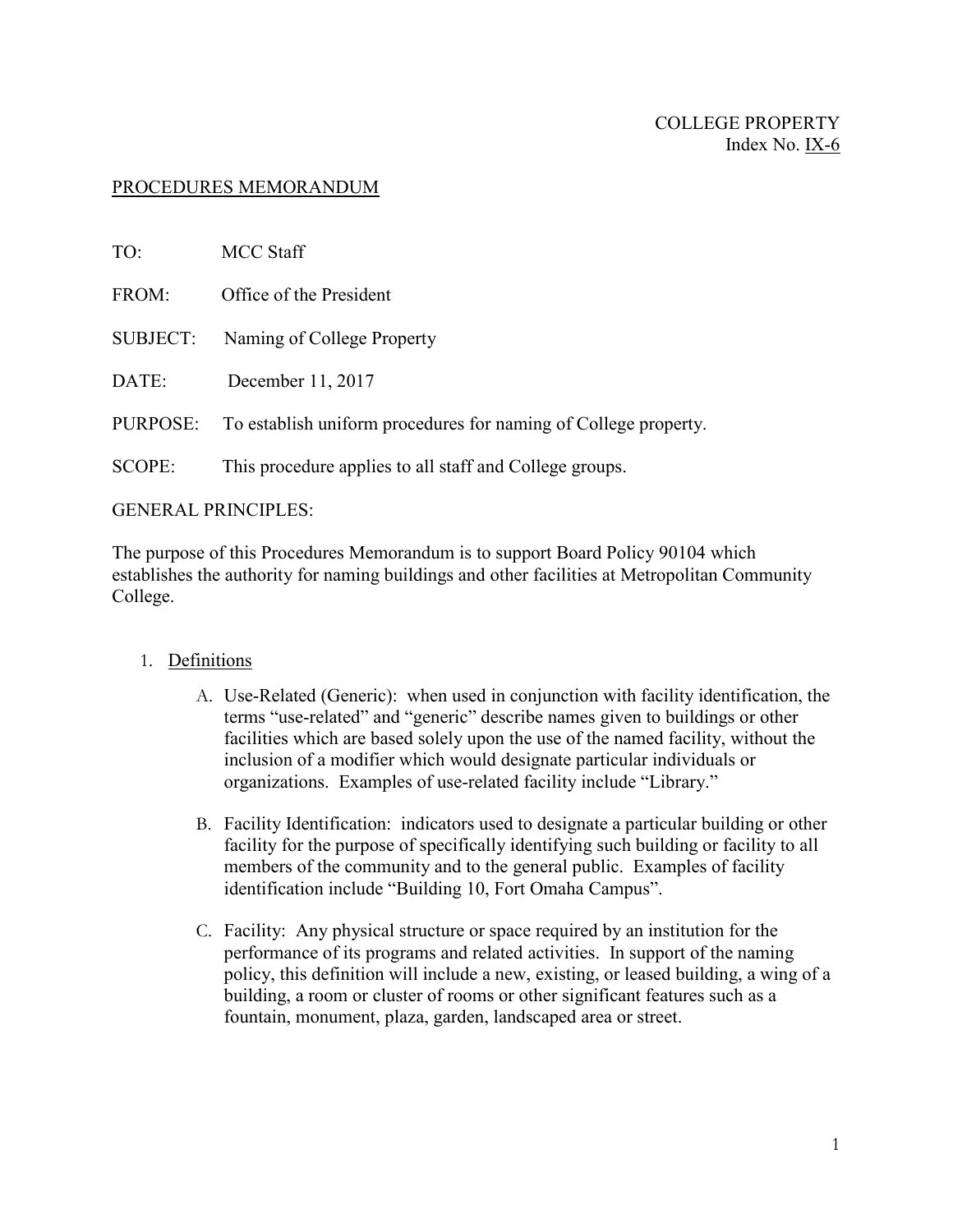## PROCEDURES MEMORANDUM

| TO:             | <b>MCC Staff</b>                                                |
|-----------------|-----------------------------------------------------------------|
| FROM:           | Office of the President                                         |
| <b>SUBJECT:</b> | Naming of College Property                                      |
| DATE:           | December 11, 2017                                               |
| PURPOSE:        | To establish uniform procedures for naming of College property. |
| <b>SCOPE:</b>   | This procedure applies to all staff and College groups.         |
|                 |                                                                 |

## GENERAL PRINCIPLES:

The purpose of this Procedures Memorandum is to support Board Policy 90104 which establishes the authority for naming buildings and other facilities at Metropolitan Community College.

## 1. Definitions

- A. Use-Related (Generic): when used in conjunction with facility identification, the terms "use-related" and "generic" describe names given to buildings or other facilities which are based solely upon the use of the named facility, without the inclusion of a modifier which would designate particular individuals or organizations. Examples of use-related facility include "Library."
- B. Facility Identification: indicators used to designate a particular building or other facility for the purpose of specifically identifying such building or facility to all members of the community and to the general public. Examples of facility identification include "Building 10, Fort Omaha Campus".
- C. Facility: Any physical structure or space required by an institution for the performance of its programs and related activities. In support of the naming policy, this definition will include a new, existing, or leased building, a wing of a building, a room or cluster of rooms or other significant features such as a fountain, monument, plaza, garden, landscaped area or street.